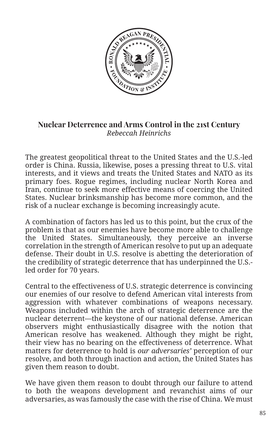

## **Nuclear Deterrence and Arms Control in the 21st Century** *Rebeccah Heinrichs*

The greatest geopolitical threat to the United States and the U.S.-led order is China. Russia, likewise, poses a pressing threat to U.S. vital interests, and it views and treats the United States and NATO as its primary foes. Rogue regimes, including nuclear North Korea and Iran, continue to seek more effective means of coercing the United States. Nuclear brinksmanship has become more common, and the risk of a nuclear exchange is becoming increasingly acute.

A combination of factors has led us to this point, but the crux of the problem is that as our enemies have become more able to challenge the United States. Simultaneously, they perceive an inverse correlation in the strength of American resolve to put up an adequate defense. Their doubt in U.S. resolve is abetting the deterioration of the credibility of strategic deterrence that has underpinned the U.S. led order for 70 years.

Central to the effectiveness of U.S. strategic deterrence is convincing our enemies of our resolve to defend American vital interests from aggression with whatever combinations of weapons necessary. Weapons included within the arch of strategic deterrence are the nuclear deterrent—the keystone of our national defense. American observers might enthusiastically disagree with the notion that American resolve has weakened. Although they might be right, their view has no bearing on the effectiveness of deterrence. What matters for deterrence to hold is *our adversaries'* perception of our resolve, and both through inaction and action, the United States has given them reason to doubt.

We have given them reason to doubt through our failure to attend to both the weapons development and revanchist aims of our adversaries, as was famously the case with the rise of China. We must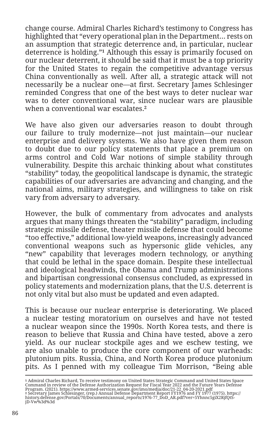change course. Admiral Charles Richard's testimony to Congress has highlighted that "every operational plan in the Department… rests on an assumption that strategic deterrence and, in particular, nuclear deterrence is holding."**1** Although this essay is primarily focused on our nuclear deterrent, it should be said that it must be a top priority for the United States to regain the competitive advantage versus China conventionally as well. After all, a strategic attack will not necessarily be a nuclear one—at first. Secretary James Schlesinger reminded Congress that one of the best ways to deter nuclear war was to deter conventional war, since nuclear wars are plausible when a conventional war escalates.**<sup>2</sup>**

We have also given our adversaries reason to doubt through our failure to truly modernize—not just maintain—our nuclear enterprise and delivery systems. We also have given them reason to doubt due to our policy statements that place a premium on arms control and Cold War notions of simple stability through vulnerability. Despite this archaic thinking about what constitutes "stability" today, the geopolitical landscape is dynamic, the strategic capabilities of our adversaries are advancing and changing, and the national aims, military strategies, and willingness to take on risk vary from adversary to adversary.

However, the bulk of commentary from advocates and analysts argues that many things threaten the "stability" paradigm, including strategic missile defense, theater missile defense that could become "too effective," additional low-yield weapons, increasingly advanced conventional weapons such as hypersonic glide vehicles, any "new" capability that leverages modern technology, or anything that could be lethal in the space domain. Despite these intellectual and ideological headwinds, the Obama and Trump administrations and bipartisan congressional consensus concluded, as expressed in policy statements and modernization plans, that the U.S. deterrent is not only vital but also must be updated and even adapted.

This is because our nuclear enterprise is deteriorating. We placed a nuclear testing moratorium on ourselves and have not tested a nuclear weapon since the 1990s. North Korea tests, and there is reason to believe that Russia and China have tested, above a zero yield. As our nuclear stockpile ages and we eschew testing, we are also unable to produce the core component of our warheads: plutonium pits. Russia, China, and North Korea produce plutonium pits. As I penned with my colleague Tim Morrison, "Being able

<sup>1</sup> Admiral Charles Richard, To receive testimony on United States Strategic Command and United States Space<br>Command in review of the Defense Authorization Request for Fiscal Year 2022 and the Future Years Defense<br>Program. (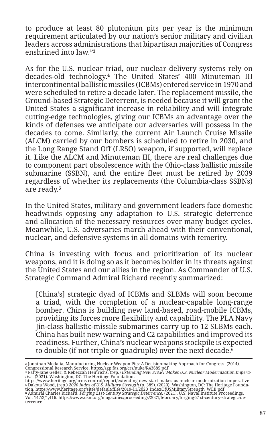to produce at least 80 plutonium pits per year is the minimum requirement articulated by our nation's senior military and civilian leaders across administrations that bipartisan majorities of Congress enshrined into law."**<sup>3</sup>**

As for the U.S. nuclear triad, our nuclear delivery systems rely on decades-old technology.**4** The United States' 400 Minuteman III intercontinental ballistic missiles (ICBMs) entered service in 1970 and were scheduled to retire a decade later. The replacement missile, the Ground-based Strategic Deterrent, is needed because it will grant the United States a significant increase in reliability and will integrate cutting-edge technologies, giving our ICBMs an advantage over the kinds of defenses we anticipate our adversaries will possess in the decades to come. Similarly, the current Air Launch Cruise Missile (ALCM) carried by our bombers is scheduled to retire in 2030, and the Long Range Stand Off (LRSO) weapon, if supported, will replace it. Like the ALCM and Minuteman III, there are real challenges due to component part obsolescence with the Ohio-class ballistic missile submarine (SSBN), and the entire fleet must be retired by 2039 regardless of whether its replacements (the Columbia-class SSBNs) are ready.**<sup>5</sup>**

In the United States, military and government leaders face domestic headwinds opposing any adaptation to U.S. strategic deterrence and allocation of the necessary resources over many budget cycles. Meanwhile, U.S. adversaries march ahead with their conventional, nuclear, and defensive systems in all domains with temerity.

China is investing with focus and prioritization of its nuclear weapons, and it is doing so as it becomes bolder in its threats against the United States and our allies in the region. As Commander of U.S. Strategic Command Admiral Richard recently summarized:

[China's] strategic dyad of ICBMs and SLBMs will soon become a triad, with the completion of a nuclear-capable long-range bomber. China is building new land-based, road-mobile ICBMs, providing its forces more flexibility and capability. The PLA Navy Jin-class ballistic-missile submarines carry up to 12 SLBMs each. China has built new warning and C2 capabilities and improved its readiness. Further, China's nuclear weapons stockpile is expected to double (if not triple or quadruple) over the next decade.**6**

<sup>&</sup>lt;sup>3</sup> Jonathan Medalia, Manufacturing Nuclear Weapon Pits: A Decisionmaking Approach for Congress. (2014).<br>Congressional Research Service. https://sgp.fas.org/crs/nuke/R43685.pdf<br><sup>4</sup> Patty-Jane Geller, & Rebeccah Heinrichs, terrence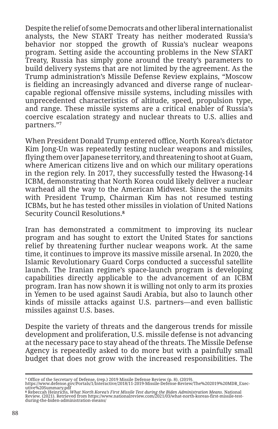Despite the relief of some Democrats and other liberal internationalist analysts, the New START Treaty has neither moderated Russia's behavior nor stopped the growth of Russia's nuclear weapons program. Setting aside the accounting problems in the New START Treaty, Russia has simply gone around the treaty's parameters to build delivery systems that are not limited by the agreement. As the Trump administration's Missile Defense Review explains, "Moscow is fielding an increasingly advanced and diverse range of nuclearcapable regional offensive missile systems, including missiles with unprecedented characteristics of altitude, speed, propulsion type, and range. These missile systems are a critical enabler of Russia's coercive escalation strategy and nuclear threats to U.S. allies and partners."**<sup>7</sup>**

When President Donald Trump entered office, North Korea's dictator Kim Jong-Un was repeatedly testing nuclear weapons and missiles, flying them over Japanese territory, and threatening to shoot at Guam, where American citizens live and on which our military operations in the region rely. In 2017, they successfully tested the Hwasong-14 ICBM, demonstrating that North Korea could likely deliver a nuclear warhead all the way to the American Midwest. Since the summits with President Trump, Chairman Kim has not resumed testing ICBMs, but he has tested other missiles in violation of United Nations Security Council Resolutions.**<sup>8</sup>**

Iran has demonstrated a commitment to improving its nuclear program and has sought to extort the United States for sanctions relief by threatening further nuclear weapons work. At the same time, it continues to improve its massive missile arsenal. In 2020, the Islamic Revolutionary Guard Corps conducted a successful satellite launch. The Iranian regime's space-launch program is developing capabilities directly applicable to the advancement of an ICBM program. Iran has now shown it is willing not only to arm its proxies in Yemen to be used against Saudi Arabia, but also to launch other kinds of missile attacks against U.S. partners—and even ballistic missiles against U.S. bases.

Despite the variety of threats and the dangerous trends for missile development and proliferation, U.S. missile defense is not advancing at the necessary pace to stay ahead of the threats. The Missile Defense Agency is repeatedly asked to do more but with a painfully small budget that does not grow with the increased responsibilities. The

- <sup>7</sup> Office of the Secretary of Defense, (rep.) 2019 Missile Defense Review (p. 8). (2019).<br>https://www.defense.gov/Portals/1/Interactive/2018/11-2019-Missile-Defense-Review/The%202019%20MDR\_Exec-<br>utive%20Summary.pdf
- s Rebeccah Heinrichs, *What North Korea's First Missile Test during the Biden Administration Means.* National<br>Review. (2021). Retrieved from https://www.nationalreview.com/2021/03/what-north-koreas-first-missile-testduring-the-biden-administration-means/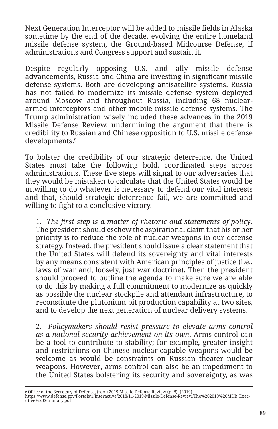Next Generation Interceptor will be added to missile fields in Alaska sometime by the end of the decade, evolving the entire homeland missile defense system, the Ground-based Midcourse Defense, if administrations and Congress support and sustain it.

Despite regularly opposing U.S. and ally missile defense advancements, Russia and China are investing in significant missile defense systems. Both are developing antisatellite systems. Russia has not failed to modernize its missile defense system deployed around Moscow and throughout Russia, including 68 nucleararmed interceptors and other mobile missile defense systems. The Trump administration wisely included these advances in the 2019 Missile Defense Review, undermining the argument that there is credibility to Russian and Chinese opposition to U.S. missile defense developments.**<sup>9</sup>**

To bolster the credibility of our strategic deterrence, the United States must take the following bold, coordinated steps across administrations. These five steps will signal to our adversaries that they would be mistaken to calculate that the United States would be unwilling to do whatever is necessary to defend our vital interests and that, should strategic deterrence fail, we are committed and willing to fight to a conclusive victory.

1. *The first step is a matter of rhetoric and statements of policy*. The president should eschew the aspirational claim that his or her priority is to reduce the role of nuclear weapons in our defense strategy. Instead, the president should issue a clear statement that the United States will defend its sovereignty and vital interests by any means consistent with American principles of justice (i.e., laws of war and, loosely, just war doctrine). Then the president should proceed to outline the agenda to make sure we are able to do this by making a full commitment to modernize as quickly as possible the nuclear stockpile and attendant infrastructure, to reconstitute the plutonium pit production capability at two sites, and to develop the next generation of nuclear delivery systems.

2. *Policymakers should resist pressure to elevate arms control as a national security achievement on its own*. Arms control can be a tool to contribute to stability; for example, greater insight and restrictions on Chinese nuclear-capable weapons would be welcome as would be constraints on Russian theater nuclear weapons. However, arms control can also be an impediment to the United States bolstering its security and sovereignty, as was

**<sup>9</sup>** Office of the Secretary of Defense, (rep.) 2019 Missile Defense Review (p. 8). (2019). https://www.defense.gov/Portals/1/Interactive/2018/11-2019-Missile-Defense-Review/The%202019%20MDR\_Exec- utive%20Summary.pdf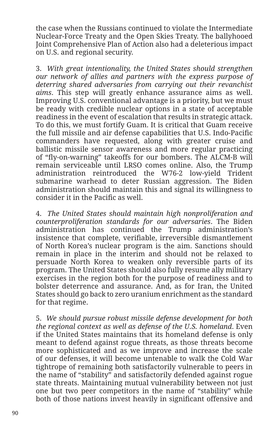the case when the Russians continued to violate the Intermediate Nuclear-Force Treaty and the Open Skies Treaty. The ballyhooed Joint Comprehensive Plan of Action also had a deleterious impact on U.S. and regional security.

3. *With great intentionality, the United States should strengthen our network of allies and partners with the express purpose of deterring shared adversaries from carrying out their revanchist aims*. This step will greatly enhance assurance aims as well. Improving U.S. conventional advantage is a priority, but we must be ready with credible nuclear options in a state of acceptable readiness in the event of escalation that results in strategic attack. To do this, we must fortify Guam. It is critical that Guam receive the full missile and air defense capabilities that U.S. Indo-Pacific commanders have requested, along with greater cruise and ballistic missile sensor awareness and more regular practicing of "fly-on-warning" takeoffs for our bombers. The ALCM-B will remain serviceable until LRSO comes online. Also, the Trump administration reintroduced the W76-2 low-yield Trident submarine warhead to deter Russian aggression. The Biden administration should maintain this and signal its willingness to consider it in the Pacific as well.

4. *The United States should maintain high nonproliferation and counterproliferation standards for our adversaries*. The Biden administration has continued the Trump administration's insistence that complete, verifiable, irreversible dismantlement of North Korea's nuclear program is the aim. Sanctions should remain in place in the interim and should not be relaxed to persuade North Korea to weaken only reversible parts of its program. The United States should also fully resume ally military exercises in the region both for the purpose of readiness and to bolster deterrence and assurance. And, as for Iran, the United States should go back to zero uranium enrichment as the standard for that regime.

5. *We should pursue robust missile defense development for both the regional context as well as defense of the U.S. homeland*. Even if the United States maintains that its homeland defense is only meant to defend against rogue threats, as those threats become more sophisticated and as we improve and increase the scale of our defenses, it will become untenable to walk the Cold War tightrope of remaining both satisfactorily vulnerable to peers in the name of "stability" and satisfactorily defended against rogue state threats. Maintaining mutual vulnerability between not just one but two peer competitors in the name of "stability" while both of those nations invest heavily in significant offensive and